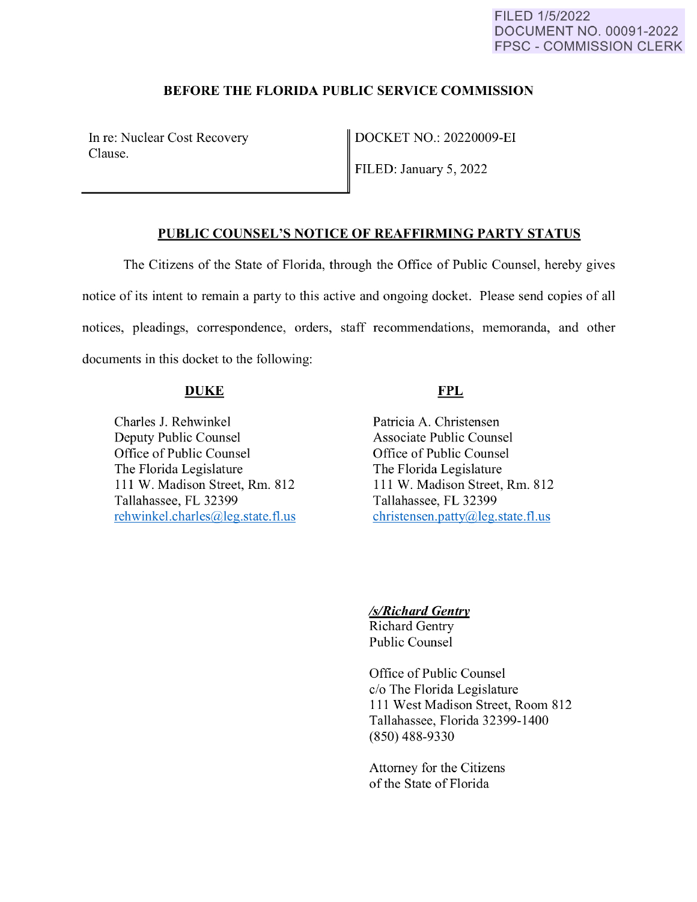#### FILED 1/5/2022 DOCUMENT NO. 00091-2022 FPSC - COMMISSION CLERK

## **BEFORE THE FLORIDA PUBLIC SERVICE COMMISSION**

In re: Nuclear Cost Recovery Clause.

DOCKET NO.: 20220009-EI

FILED: January 5, 2022

## **PUBLIC COUNSEL'S NOTICE OF REAFFIRMING PARTY STATUS**

The Citizens of the State of Florida, through the Office of Public Counsel, hereby gives notice of its intent to remain a party to this active and ongoing docket. Please send copies of all notices, pleadings, correspondence, orders, staff recommendations, memoranda, and other documents in this docket to the following:

#### **DUKE**

Charles J. Rehwinkel Deputy Public Counsel Office of Public Counsel The Florida Legislature 111 W. Madison Street, Rm. 812 Tallahassee, FL 32399 rehwinkel.charles@leg.state.fl.us

# **FPL**

Patricia A. Christensen Associate Public Counsel Office of Public Counsel The Florida Legislature 111 W. Madison Street, Rm. 812 Tallahassee, FL 32399 christensen.patty@leg.state.fl.us

# *ls/Richard Gentry*

Richard Gentry Public Counsel

Office of Public Counsel c/o The Florida Legislature 111 West Madison Street, Room 812 Tallahassee, Florida 32399-1400 (850) 488-9330

Attorney for the Citizens of the State of Florida